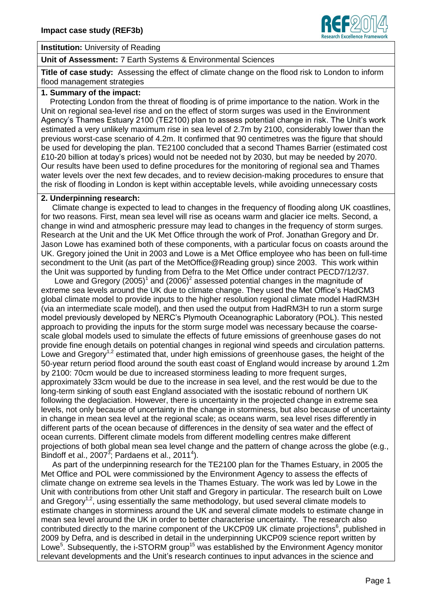

## **Institution:** University of Reading

### **Unit of Assessment:** 7 Earth Systems & Environmental Sciences

**Title of case study:** Assessing the effect of climate change on the flood risk to London to inform flood management strategies

# **1. Summary of the impact:**

Protecting London from the threat of flooding is of prime importance to the nation. Work in the Unit on regional sea-level rise and on the effect of storm surges was used in the Environment Agency's Thames Estuary 2100 (TE2100) plan to assess potential change in risk. The Unit's work estimated a very unlikely maximum rise in sea level of 2.7m by 2100, considerably lower than the previous worst-case scenario of 4.2m. It confirmed that 90 centimetres was the figure that should be used for developing the plan. TE2100 concluded that a second Thames Barrier (estimated cost £10-20 billion at today's prices) would not be needed not by 2030, but may be needed by 2070. Our results have been used to define procedures for the monitoring of regional sea and Thames water levels over the next few decades, and to review decision-making procedures to ensure that the risk of flooding in London is kept within acceptable levels, while avoiding unnecessary costs

#### **2. Underpinning research:**

 Climate change is expected to lead to changes in the frequency of flooding along UK coastlines, for two reasons. First, mean sea level will rise as oceans warm and glacier ice melts. Second, a change in wind and atmospheric pressure may lead to changes in the frequency of storm surges. Research at the Unit and the UK Met Office through the work of Prof. Jonathan Gregory and Dr. Jason Lowe has examined both of these components, with a particular focus on coasts around the UK. Gregory joined the Unit in 2003 and Lowe is a Met Office employee who has been on full-time secondment to the Unit (as part of the MetOffice@Reading group) since 2003. This work within the Unit was supported by funding from Defra to the Met Office under contract PECD7/12/37.

Lowe and Gregory  $(2005)^1$  and  $(2006)^2$  assessed potential changes in the magnitude of extreme sea levels around the UK due to climate change. They used the Met Office's HadCM3 global climate model to provide inputs to the higher resolution regional climate model HadRM3H (via an intermediate scale model), and then used the output from HadRM3H to run a storm surge model previously developed by NERC's Plymouth Oceanographic Laboratory (POL). This nested approach to providing the inputs for the storm surge model was necessary because the coarsescale global models used to simulate the effects of future emissions of greenhouse gases do not provide fine enough details on potential changes in regional wind speeds and circulation patterns. Lowe and Gregory<sup>1,2</sup> estimated that, under high emissions of greenhouse gases, the height of the 50-year return period flood around the south east coast of England would increase by around 1.2m by 2100: 70cm would be due to increased storminess leading to more frequent surges, approximately 33cm would be due to the increase in sea level, and the rest would be due to the long-term sinking of south east England associated with the isostatic rebound of northern UK following the deglaciation. However, there is uncertainty in the projected change in extreme sea levels, not only because of uncertainty in the change in storminess, but also because of uncertainty in change in mean sea level at the regional scale; as oceans warm, sea level rises differently in different parts of the ocean because of differences in the density of sea water and the effect of ocean currents. Different climate models from different modelling centres make different projections of both global mean sea level change and the pattern of change across the globe (e.g., Bindoff et al., 2007 $^3$ ; Pardaens et al., 2011<sup>4</sup>).

 As part of the underpinning research for the TE2100 plan for the Thames Estuary, in 2005 the Met Office and POL were commissioned by the Environment Agency to assess the effects of climate change on extreme sea levels in the Thames Estuary. The work was led by Lowe in the Unit with contributions from other Unit staff and Gregory in particular. The research built on Lowe and Gregory<sup>1,2</sup>, using essentially the same methodology, but used several climate models to estimate changes in storminess around the UK and several climate models to estimate change in mean sea level around the UK in order to better characterise uncertainty. The research also contributed directly to the marine component of the UKCP09 UK climate projections<sup>6</sup>, published in 2009 by Defra, and is described in detail in the underpinning UKCP09 science report written by Lowe<sup>5</sup>. Subsequently, the i-STORM group<sup>15</sup> was established by the Environment Agency monitor relevant developments and the Unit's research continues to input advances in the science and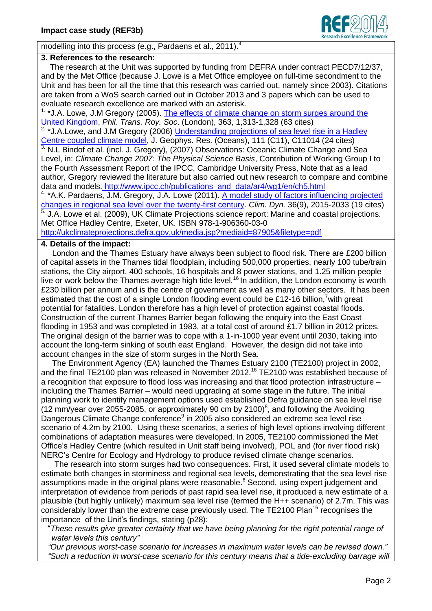

modelling into this process (e.g., Pardaens et al., 2011).<sup>4</sup>

## **3. References to the research:**

The research at the Unit was supported by funding from DEFRA under contract PECD7/12/37, and by the Met Office (because J. Lowe is a Met Office employee on full-time secondment to the Unit and has been for all the time that this research was carried out, namely since 2003). Citations are taken from a WoS search carried out in October 2013 and 3 papers which can be used to evaluate research excellence are marked with an asterisk.

<sup>1.</sup> \*J.A. Lowe, J.M Gregory (2005). The effects of climate change on storm surges around the [United Kingdom,](http://centaur.reading.ac.uk/5234/) *Phil. Trans. Roy. Soc*. (London), 363, 1,313-1,328 (63 cites)

<sup>2</sup> \*J.A.Lowe, and J.M Gregory (2006) *Understanding projections of sea level rise in a Hadley* [Centre coupled climate model,](http://centaur.reading.ac.uk/5516/) J. Geophys. Res. (Oceans), 111 (C11), C11014 (24 cites)  $3$ . N.L Bindof et al. (incl. J. Gregory), (2007) Observations: Oceanic Climate Change and Sea Level, in: *Climate Change 2007: The Physical Science Basis*, Contribution of Working Group I to the Fourth Assessment Report of the IPCC, Cambridge University Press, Note that as a lead author, Gregory reviewed the literature but also carried out new research to compare and combine data and models. [http://www.ipcc.ch/publications\\_and\\_data/ar4/wg1/en/ch5.html](http://www.ipcc.ch/publications_and_data/ar4/wg1/en/ch5.html)

4. \*A.K. Pardaens, J.M. Gregory, J.A. Lowe (2011). A model study of factors influencing projected [changes in regional sea level over the twenty-first century.](http://centaur.reading.ac.uk/17156/) *Clim. Dyn.* 36(9), 2015-2033 (19 cites) <sup>5</sup> J.A. Lowe et al. (2009), UK Climate Projections science report: Marine and coastal projections. Met Office Hadley Centre, Exeter, UK. ISBN 978-1-906360-03-0 <http://ukclimateprojections.defra.gov.uk/media.jsp?mediaid=87905&filetype=pdf>

# **4. Details of the impact:**

 London and the Thames Estuary have always been subject to flood risk. There are £200 billion of capital assets in the Thames tidal floodplain, including 500,000 properties, nearly 100 tube/train stations, the City airport, 400 schools, 16 hospitals and 8 power stations, and 1.25 million people live or work below the Thames average high tide level.<sup>16</sup> In addition, the London economy is worth £230 billion per annum and is the centre of government as well as many other sectors. It has been estimated that the cost of a single London flooding event could be £12-16 billion.<sup>7</sup> with great potential for fatalities. London therefore has a high level of protection against coastal floods. Construction of the current Thames Barrier began following the enquiry into the East Coast flooding in 1953 and was completed in 1983, at a total cost of around £1.7 billion in 2012 prices. The original design of the barrier was to cope with a 1-in-1000 year event until 2030, taking into account the long-term sinking of south east England. However, the design did not take into account changes in the size of storm surges in the North Sea.

 The Environment Agency (EA) launched the Thames Estuary 2100 (TE2100) project in 2002, and the final TE2100 plan was released in November 2012. <sup>16</sup> TE2100 was established because of a recognition that exposure to flood loss was increasing and that flood protection infrastructure – including the Thames Barrier – would need upgrading at some stage in the future. The initial planning work to identify management options used established Defra guidance on sea level rise  $(12 \text{ mm/year})$  over 2055-2085, or approximately 90 cm by 2100)<sup>8</sup>, and following the Avoiding Dangerous Climate Change conference<sup>9</sup> in 2005 also considered an extreme sea level rise scenario of 4.2m by 2100. Using these scenarios, a series of high level options involving different combinations of adaptation measures were developed. In 2005, TE2100 commissioned the Met Office's Hadley Centre (which resulted in Unit staff being involved), POL and (for river flood risk) NERC's Centre for Ecology and Hydrology to produce revised climate change scenarios.

 The research into storm surges had two consequences. First, it used several climate models to estimate both changes in storminess and regional sea levels, demonstrating that the sea level rise assumptions made in the original plans were reasonable. <sup>6</sup> Second, using expert judgement and interpretation of evidence from periods of past rapid sea level rise, it produced a new estimate of a plausible (but highly unlikely) maximum sea level rise (termed the H++ scenario) of 2.7m. This was considerably lower than the extreme case previously used. The TE2100 Plan<sup>16</sup> recognises the importance of the Unit's findings, stating (p28):

 "*These results give greater certainty that we have being planning for the right potential range of water levels this century"*

 *"Our previous worst-case scenario for increases in maximum water levels can be revised down." "Such a reduction in worst-case scenario for this century means that a tide-excluding barrage will*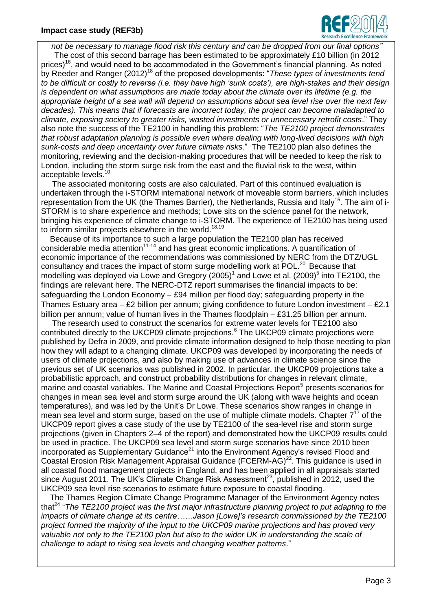

*not be necessary to manage flood risk this century and can be dropped from our final options"*

 The cost of this second barrage has been estimated to be approximately £10 billion (in 2012 prices)<sup>16</sup>, and would need to be accommodated in the Government's financial planning. As noted by Reeder and Ranger (2012)<sup>18</sup> of the proposed developments: "These types of investments tend *to be difficult or costly to reverse (i.e. they have high 'sunk costs'), are high-stakes and their design is dependent on what assumptions are made today about the climate over its lifetime (e.g. the appropriate height of a sea wall will depend on assumptions about sea level rise over the next few decades). This means that if forecasts are incorrect today, the project can become maladapted to climate, exposing society to greater risks, wasted investments or unnecessary retrofit costs*." They also note the success of the TE2100 in handling this problem: "*The TE2100 project demonstrates that robust adaptation planning is possible even where dealing with long-lived decisions with high sunk-costs and deep uncertainty over future climate risks*." The TE2100 plan also defines the monitoring, reviewing and the decision-making procedures that will be needed to keep the risk to London, including the storm surge risk from the east and the fluvial risk to the west, within acceptable levels.<sup>10</sup>

 The associated monitoring costs are also calculated. Part of this continued evaluation is undertaken through the i-STORM international network of moveable storm barriers, which includes representation from the UK (the Thames Barrier), the Netherlands, Russia and Italy<sup>15</sup>. The aim of i-STORM is to share experience and methods; Lowe sits on the science panel for the network, bringing his experience of climate change to i-STORM. The experience of TE2100 has being used to inform similar projects elsewhere in the world.<sup>18,19</sup>

 Because of its importance to such a large population the TE2100 plan has received considerable media attention<sup>11-14</sup> and has great economic implications. A quantification of economic importance of the recommendations was commissioned by NERC from the DTZ/UGL consultancy and traces the impact of storm surge modelling work at POL.<sup>20</sup> Because that modelling was deployed via Lowe and Gregory (2005)<sup>1</sup> and Lowe et al. (2009)<sup>5</sup> into TE2100, the findings are relevant here. The NERC-DTZ report summarises the financial impacts to be: safeguarding the London Economy  $-$  £94 million per flood day; safeguarding property in the Thames Estuary area  $-$  £2 billion per annum; giving confidence to future London investment  $-$  £2.1 billion per annum; value of human lives in the Thames floodplain  $-$  £31.25 billion per annum.

 The research used to construct the scenarios for extreme water levels for TE2100 also contributed directly to the UKCP09 climate projections.<sup>6</sup> The UKCP09 climate projections were published by Defra in 2009, and provide climate information designed to help those needing to plan how they will adapt to a changing climate. UKCP09 was developed by incorporating the needs of users of climate projections, and also by making use of advances in climate science since the previous set of UK scenarios was published in 2002. In particular, the UKCP09 projections take a probabilistic approach, and construct probability distributions for changes in relevant climate, marine and coastal variables. The Marine and Coastal Projections Report<sup>5</sup> presents scenarios for changes in mean sea level and storm surge around the UK (along with wave heights and ocean temperatures), and was led by the Unit's Dr Lowe. These scenarios show ranges in change in mean sea level and storm surge, based on the use of multiple climate models. Chapter  $7^{17}$  of the UKCP09 report gives a case study of the use by TE2100 of the sea-level rise and storm surge projections (given in Chapters 2–4 of the report) and demonstrated how the UKCP09 results could be used in practice. The UKCP09 sea level and storm surge scenarios have since 2010 been incorporated as Supplementary Guidance<sup>21</sup> into the Environment Agency's revised Flood and Coastal Erosion Risk Management Appraisal Guidance (FCERM-AG)<sup>22</sup>. This guidance is used in all coastal flood management projects in England, and has been applied in all appraisals started since August 2011. The UK's Climate Change Risk Assessment<sup>23</sup>, published in 2012, used the UKCP09 sea level rise scenarios to estimate future exposure to coastal flooding.

 The Thames Region Climate Change Programme Manager of the Environment Agency notes that<sup>24</sup> "The TE2100 project was the first major infrastructure planning project to put adapting to the *impacts of climate change at its centre……Jason [Lowe]'s research commissioned by the TE2100 project formed the majority of the input to the UKCP09 marine projections and has proved very valuable not only to the TE2100 plan but also to the wider UK in understanding the scale of challenge to adapt to rising sea levels and changing weather patterns*."